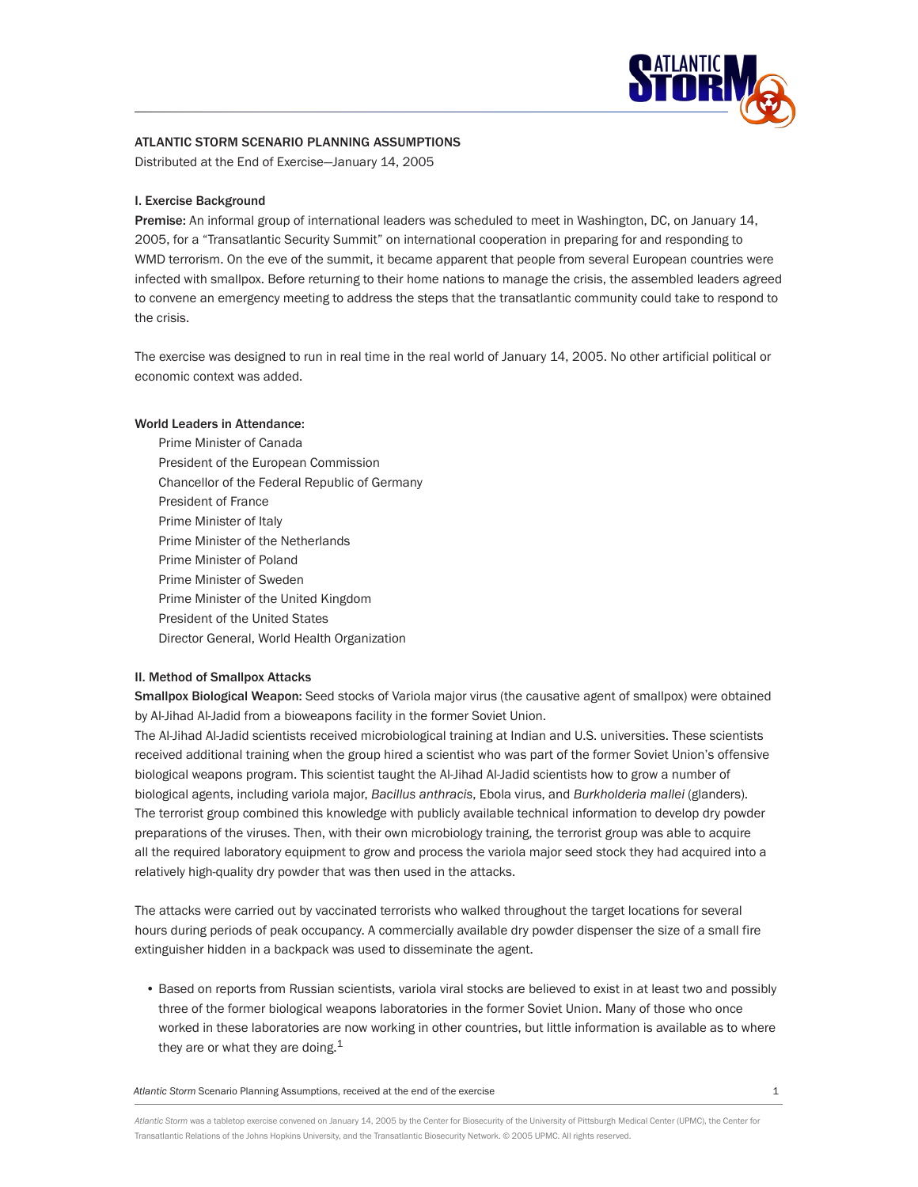

# **ATLANTIC STORM Scenario planning ASSUMPTIONS**

Distributed at the End of Exercise—January 14, 2005

## **I. Exercise Background**

**Premise:** An informal group of international leaders was scheduled to meet in Washington, DC, on January 14, 2005, for a "Transatlantic Security Summit" on international cooperation in preparing for and responding to WMD terrorism. On the eve of the summit, it became apparent that people from several European countries were infected with smallpox. Before returning to their home nations to manage the crisis, the assembled leaders agreed to convene an emergency meeting to address the steps that the transatlantic community could take to respond to the crisis.

The exercise was designed to run in real time in the real world of January 14, 2005. No other artificial political or economic context was added.

#### **World Leaders in Attendance:**

 Prime Minister of Canada President of the European Commission Chancellor of the Federal Republic of Germany President of France Prime Minister of Italy Prime Minister of the Netherlands Prime Minister of Poland Prime Minister of Sweden Prime Minister of the United Kingdom President of the United States Director General, World Health Organization

# **II. Method of Smallpox Attacks**

**Smallpox Biological Weapon:** Seed stocks of Variola major virus (the causative agent of smallpox) were obtained by Al-Jihad Al-Jadid from a bioweapons facility in the former Soviet Union.

The Al-Jihad Al-Jadid scientists received microbiological training at Indian and U.S. universities. These scientists received additional training when the group hired a scientist who was part of the former Soviet Union's offensive biological weapons program. This scientist taught the Al-Jihad Al-Jadid scientists how to grow a number of biological agents, including variola major, *Bacillus anthracis*, Ebola virus, and *Burkholderia mallei* (glanders). The terrorist group combined this knowledge with publicly available technical information to develop dry powder preparations of the viruses. Then, with their own microbiology training, the terrorist group was able to acquire all the required laboratory equipment to grow and process the variola major seed stock they had acquired into a relatively high-quality dry powder that was then used in the attacks.

The attacks were carried out by vaccinated terrorists who walked throughout the target locations for several hours during periods of peak occupancy. A commercially available dry powder dispenser the size of a small fire extinguisher hidden in a backpack was used to disseminate the agent.

• Based on reports from Russian scientists, variola viral stocks are believed to exist in at least two and possibly three of the former biological weapons laboratories in the former Soviet Union. Many of those who once worked in these laboratories are now working in other countries, but little information is available as to where they are or what they are doing. $1$ 

Atlantic Storm Scenario Planning Assumptions, received at the end of the exercise 1

*Atlantic Storm* was a tabletop exercise convened on January 14, 2005 by the Center for Biosecurity of the University of Pittsburgh Medical Center (UPMC), the Center for Transatlantic Relations of the Johns Hopkins University, and the Transatlantic Biosecurity Network. © 2005 UPMC. All rights reserved.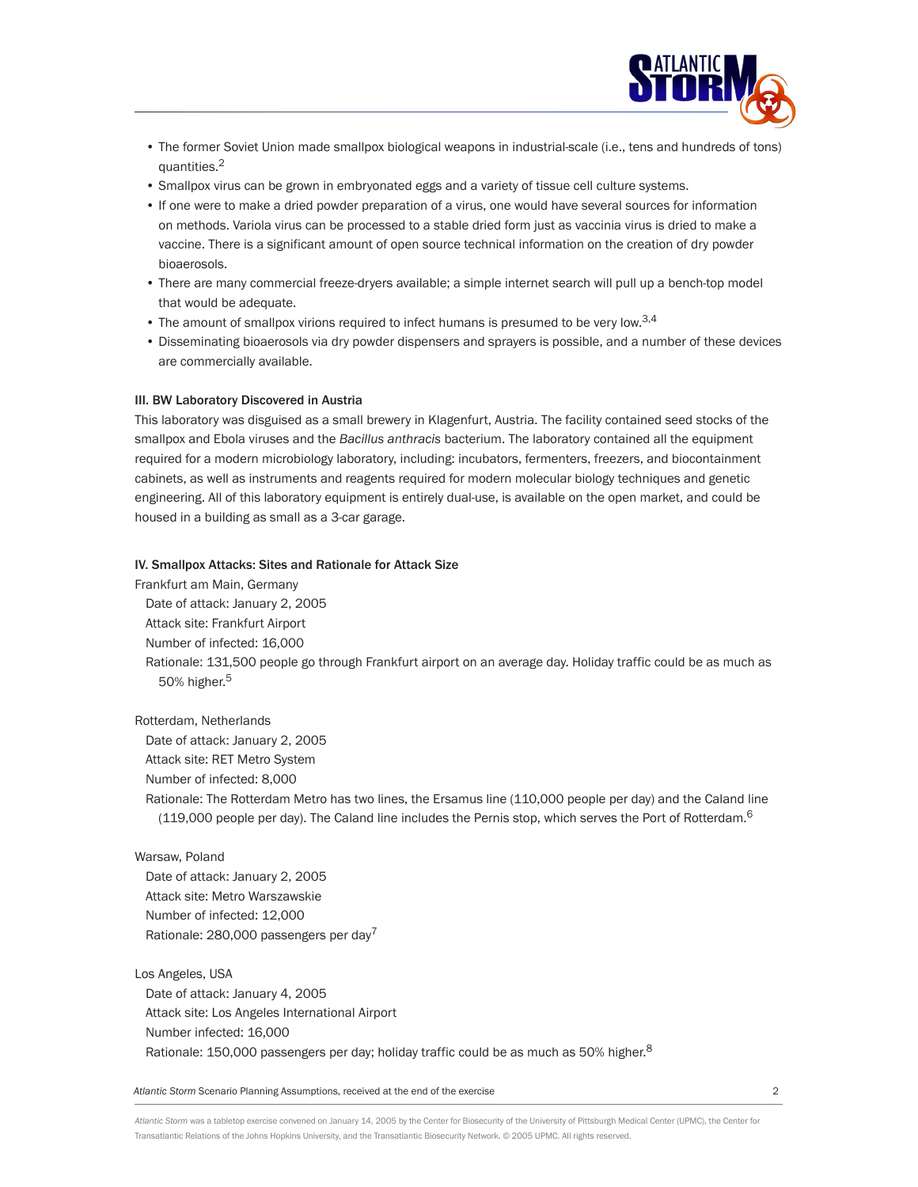

- The former Soviet Union made smallpox biological weapons in industrial-scale (i.e., tens and hundreds of tons) quantities.2
- Smallpox virus can be grown in embryonated eggs and a variety of tissue cell culture systems.
- If one were to make a dried powder preparation of a virus, one would have several sources for information on methods. Variola virus can be processed to a stable dried form just as vaccinia virus is dried to make a vaccine. There is a significant amount of open source technical information on the creation of dry powder bioaerosols.
- There are many commercial freeze-dryers available; a simple internet search will pull up a bench-top model that would be adequate.
- $\bullet$  The amount of smallpox virions required to infect humans is presumed to be very low.<sup>3,4</sup>
- Disseminating bioaerosols via dry powder dispensers and sprayers is possible, and a number of these devices are commercially available.

#### **III. BW Laboratory Discovered in Austria**

This laboratory was disguised as a small brewery in Klagenfurt, Austria. The facility contained seed stocks of the smallpox and Ebola viruses and the *Bacillus anthracis* bacterium. The laboratory contained all the equipment required for a modern microbiology laboratory, including: incubators, fermenters, freezers, and biocontainment cabinets, as well as instruments and reagents required for modern molecular biology techniques and genetic engineering. All of this laboratory equipment is entirely dual-use, is available on the open market, and could be housed in a building as small as a 3-car garage.

#### **IV. Smallpox Attacks: Sites and Rationale for Attack Size**

Frankfurt am Main, Germany Date of attack: January 2, 2005 Attack site: Frankfurt Airport Number of infected: 16,000 Rationale: 131,500 people go through Frankfurt airport on an average day. Holiday traffic could be as much as 50% higher.<sup>5</sup>

Rotterdam, Netherlands

Date of attack: January 2, 2005

Attack site: RET Metro System Number of infected: 8,000

Rationale: The Rotterdam Metro has two lines, the Ersamus line (110,000 people per day) and the Caland line (119,000 people per day). The Caland line includes the Pernis stop, which serves the Port of Rotterdam.<sup>6</sup>

#### Warsaw, Poland

Date of attack: January 2, 2005 Attack site: Metro Warszawskie Number of infected: 12,000 Rationale: 280,000 passengers per day<sup>7</sup>

Los Angeles, USA Date of attack: January 4, 2005 Attack site: Los Angeles International Airport Number infected: 16,000 Rationale: 150,000 passengers per day; holiday traffic could be as much as 50% higher.<sup>8</sup>

*Atlantic Storm* Scenario Planning Assumptions, received at the end of the exercise 2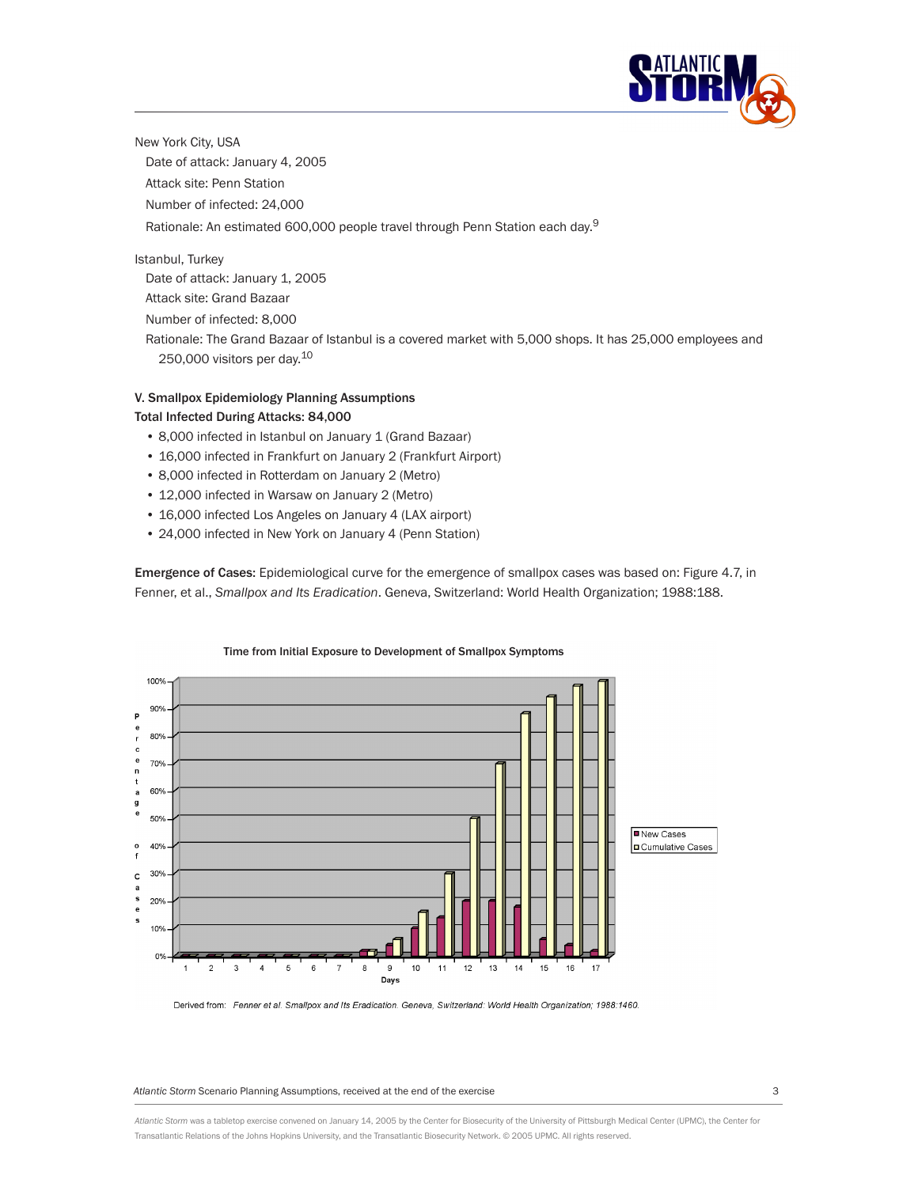

New York City, USA Date of attack: January 4, 2005 Attack site: Penn Station Number of infected: 24,000 Rationale: An estimated 600,000 people travel through Penn Station each day.<sup>9</sup>

Istanbul, Turkey Date of attack: January 1, 2005 Attack site: Grand Bazaar

Number of infected: 8,000 Rationale: The Grand Bazaar of Istanbul is a covered market with 5,000 shops. It has 25,000 employees and 250,000 visitors per day.10

# **V. Smallpox Epidemiology Planning Assumptions Total Infected During Attacks: 84,000**

- 8,000 infected in Istanbul on January 1 (Grand Bazaar)
- 16,000 infected in Frankfurt on January 2 (Frankfurt Airport)
- 8,000 infected in Rotterdam on January 2 (Metro)
- 12,000 infected in Warsaw on January 2 (Metro)
- 16,000 infected Los Angeles on January 4 (LAX airport)
- 24,000 infected in New York on January 4 (Penn Station)

**Emergence of Cases:** Epidemiological curve for the emergence of smallpox cases was based on: Figure 4.7, in Fenner, et al., *Smallpox and Its Eradication*. Geneva, Switzerland: World Health Organization; 1988:188.



Derived from: Fenner et al. Smallpox and Its Eradication. Geneva, Switzerland: World Health Organization; 1988:1460.

*Atlantic Storm* Scenario Planning Assumptions, received at the end of the exercise 3

*Atlantic Storm* was a tabletop exercise convened on January 14, 2005 by the Center for Biosecurity of the University of Pittsburgh Medical Center (UPMC), the Center for Transatlantic Relations of the Johns Hopkins University, and the Transatlantic Biosecurity Network. © 2005 UPMC. All rights reserved.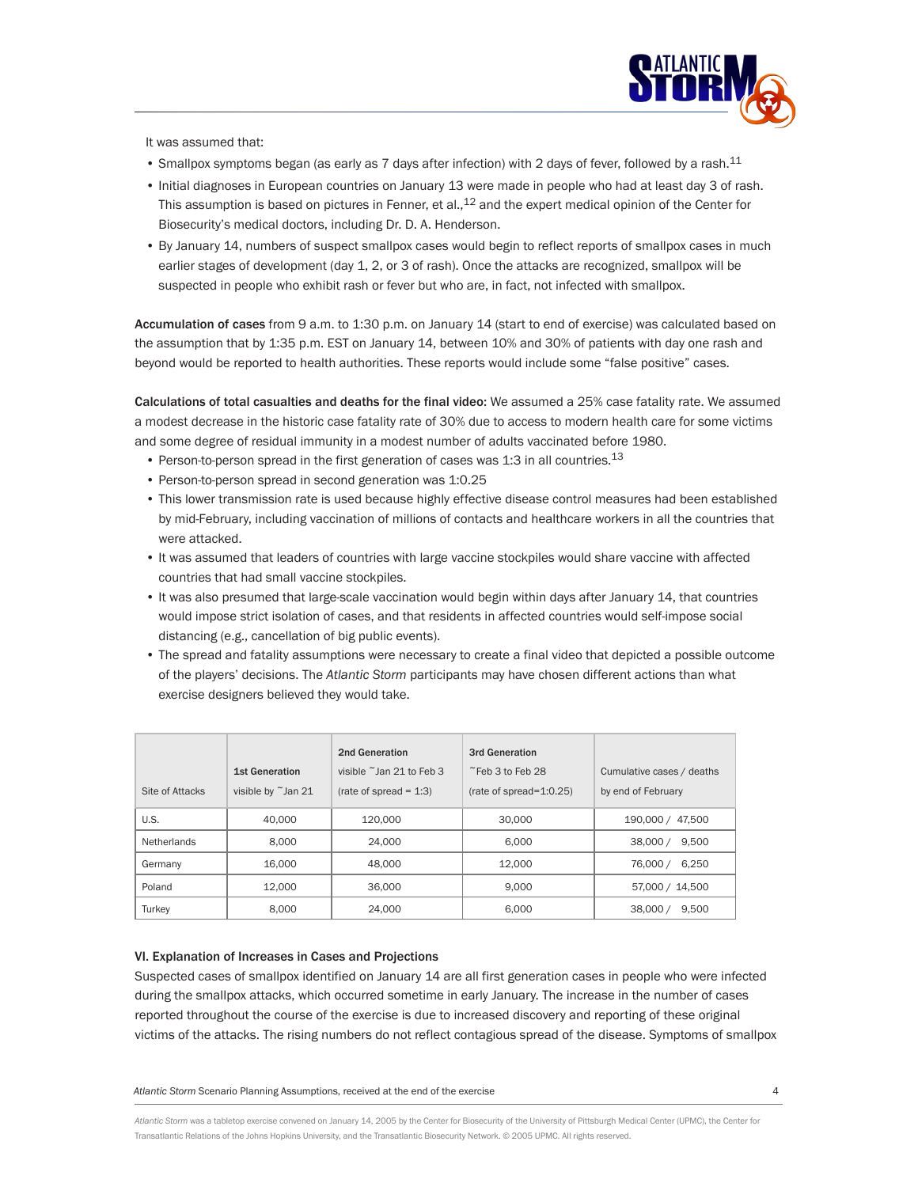

It was assumed that:

- Smallpox symptoms began (as early as 7 days after infection) with 2 days of fever, followed by a rash.<sup>11</sup>
- Initial diagnoses in European countries on January 13 were made in people who had at least day 3 of rash. This assumption is based on pictures in Fenner, et al., $^{12}$  and the expert medical opinion of the Center for Biosecurity's medical doctors, including Dr. D. A. Henderson.
- By January 14, numbers of suspect smallpox cases would begin to reflect reports of smallpox cases in much earlier stages of development (day 1, 2, or 3 of rash). Once the attacks are recognized, smallpox will be suspected in people who exhibit rash or fever but who are, in fact, not infected with smallpox.

**Accumulation of cases** from 9 a.m. to 1:30 p.m. on January 14 (start to end of exercise) was calculated based on the assumption that by 1:35 p.m. EST on January 14, between 10% and 30% of patients with day one rash and beyond would be reported to health authorities. These reports would include some "false positive" cases.

**Calculations of total casualties and deaths for the final video:** We assumed a 25% case fatality rate. We assumed a modest decrease in the historic case fatality rate of 30% due to access to modern health care for some victims and some degree of residual immunity in a modest number of adults vaccinated before 1980.

- Person-to-person spread in the first generation of cases was 1:3 in all countries.<sup>13</sup>
- Person-to-person spread in second generation was 1:0.25
- This lower transmission rate is used because highly effective disease control measures had been established by mid-February, including vaccination of millions of contacts and healthcare workers in all the countries that were attacked.
- It was assumed that leaders of countries with large vaccine stockpiles would share vaccine with affected countries that had small vaccine stockpiles.
- It was also presumed that large-scale vaccination would begin within days after January 14, that countries would impose strict isolation of cases, and that residents in affected countries would self-impose social distancing (e.g., cancellation of big public events).
- The spread and fatality assumptions were necessary to create a final video that depicted a possible outcome of the players' decisions. The *Atlantic Storm* participants may have chosen different actions than what exercise designers believed they would take.

|                 |                                         | 2nd Generation                      | 3rd Generation              |                           |
|-----------------|-----------------------------------------|-------------------------------------|-----------------------------|---------------------------|
|                 | <b>1st Generation</b>                   | visible $\tilde{ }$ lan 21 to Feb 3 | $\tilde{E}$ Feb 3 to Feb 28 | Cumulative cases / deaths |
| Site of Attacks | visible by $\tilde{\phantom{a}}$ Jan 21 | $(rate of spread = 1:3)$            | (rate of spread= $1:0.25$ ) | by end of February        |
| U.S.            | 40,000                                  | 120.000                             | 30,000                      | 190,000 / 47,500          |
| Netherlands     | 8.000                                   | 24.000                              | 6.000                       | 38,000 /<br>9.500         |
| Germany         | 16.000                                  | 48,000                              | 12.000                      | 76,000 /<br>6.250         |
| Poland          | 12.000                                  | 36,000                              | 9.000                       | 57,000 / 14,500           |
| Turkey          | 8.000                                   | 24.000                              | 6.000                       | 9.500<br>38,000 /         |

## **VI. Explanation of Increases in Cases and Projections**

Suspected cases of smallpox identified on January 14 are all first generation cases in people who were infected during the smallpox attacks, which occurred sometime in early January. The increase in the number of cases reported throughout the course of the exercise is due to increased discovery and reporting of these original victims of the attacks. The rising numbers do not reflect contagious spread of the disease. Symptoms of smallpox

*Atlantic Storm* Scenario Planning Assumptions, received at the end of the exercise 4

*Atlantic Storm* was a tabletop exercise convened on January 14, 2005 by the Center for Biosecurity of the University of Pittsburgh Medical Center (UPMC), the Center for Transatlantic Relations of the Johns Hopkins University, and the Transatlantic Biosecurity Network. © 2005 UPMC. All rights reserved.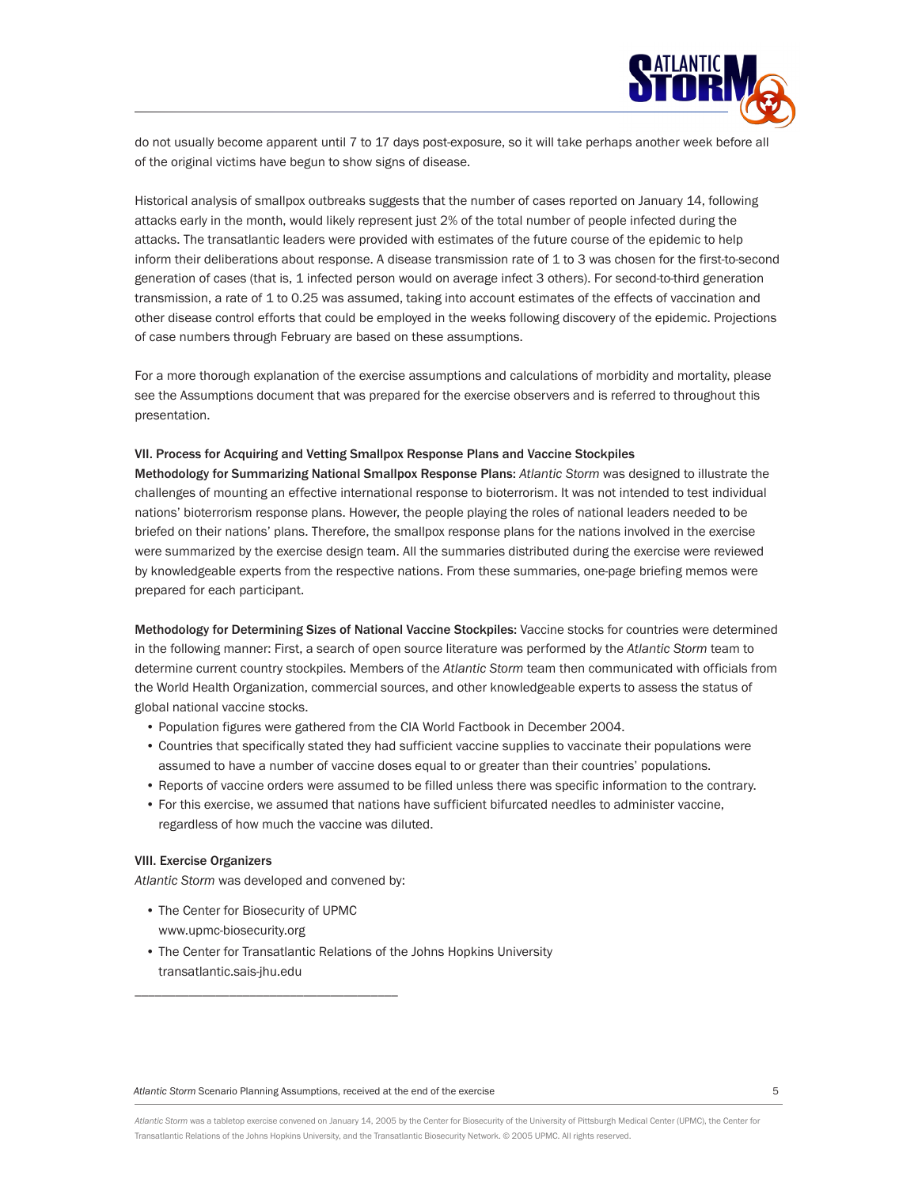

do not usually become apparent until 7 to 17 days post-exposure, so it will take perhaps another week before all of the original victims have begun to show signs of disease.

Historical analysis of smallpox outbreaks suggests that the number of cases reported on January 14, following attacks early in the month, would likely represent just 2% of the total number of people infected during the attacks. The transatlantic leaders were provided with estimates of the future course of the epidemic to help inform their deliberations about response. A disease transmission rate of 1 to 3 was chosen for the first-to-second generation of cases (that is, 1 infected person would on average infect 3 others). For second-to-third generation transmission, a rate of 1 to 0.25 was assumed, taking into account estimates of the effects of vaccination and other disease control efforts that could be employed in the weeks following discovery of the epidemic. Projections of case numbers through February are based on these assumptions.

For a more thorough explanation of the exercise assumptions and calculations of morbidity and mortality, please see the Assumptions document that was prepared for the exercise observers and is referred to throughout this presentation.

#### **VII. Process for Acquiring and Vetting Smallpox Response Plans and Vaccine Stockpiles**

**Methodology for Summarizing National Smallpox Response Plans:** *Atlantic Storm* was designed to illustrate the challenges of mounting an effective international response to bioterrorism. It was not intended to test individual nations' bioterrorism response plans. However, the people playing the roles of national leaders needed to be briefed on their nations' plans. Therefore, the smallpox response plans for the nations involved in the exercise were summarized by the exercise design team. All the summaries distributed during the exercise were reviewed by knowledgeable experts from the respective nations. From these summaries, one-page briefing memos were prepared for each participant.

**Methodology for Determining Sizes of National Vaccine Stockpiles:** Vaccine stocks for countries were determined in the following manner: First, a search of open source literature was performed by the *Atlantic Storm* team to determine current country stockpiles. Members of the *Atlantic Storm* team then communicated with officials from the World Health Organization, commercial sources, and other knowledgeable experts to assess the status of global national vaccine stocks.

- Population figures were gathered from the CIA World Factbook in December 2004.
- Countries that specifically stated they had sufficient vaccine supplies to vaccinate their populations were assumed to have a number of vaccine doses equal to or greater than their countries' populations.
- Reports of vaccine orders were assumed to be filled unless there was specific information to the contrary.
- For this exercise, we assumed that nations have sufficient bifurcated needles to administer vaccine, regardless of how much the vaccine was diluted.

## **VIII. Exercise Organizers**

*Atlantic Storm* was developed and convened by:

\_\_\_\_\_\_\_\_\_\_\_\_\_\_\_\_\_\_\_\_\_\_\_\_\_\_\_\_\_\_\_\_\_\_\_\_\_\_\_

- The Center for Biosecurity of UPMC www.upmc-biosecurity.org
- The Center for Transatlantic Relations of the Johns Hopkins University transatlantic.sais-jhu.edu

*Atlantic Storm* Scenario Planning Assumptions, received at the end of the exercise 5